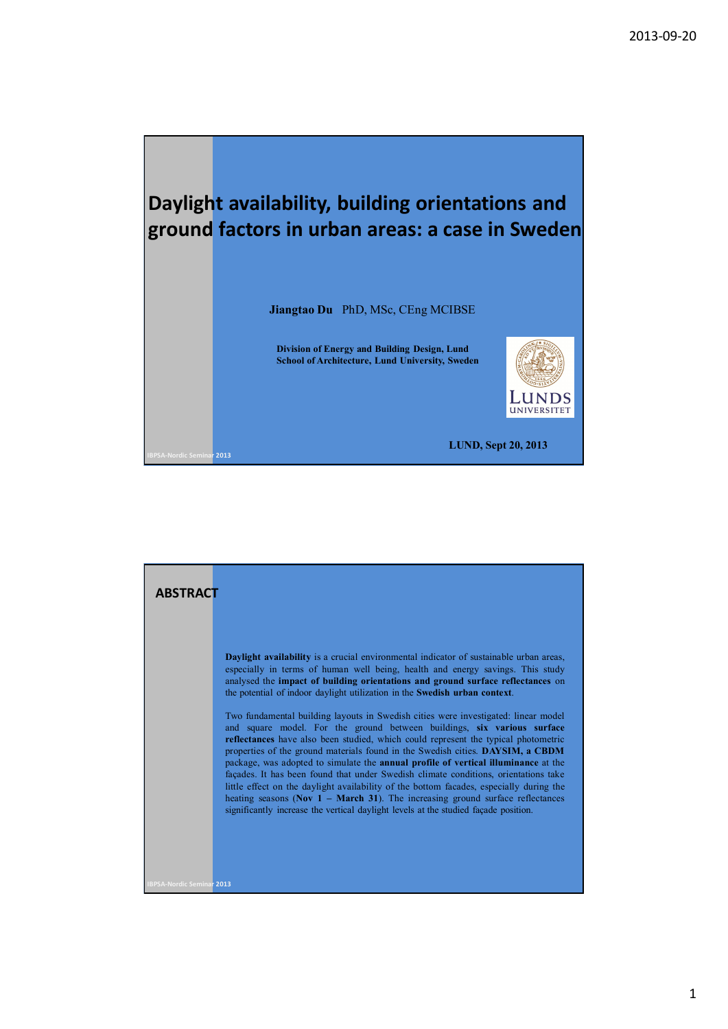

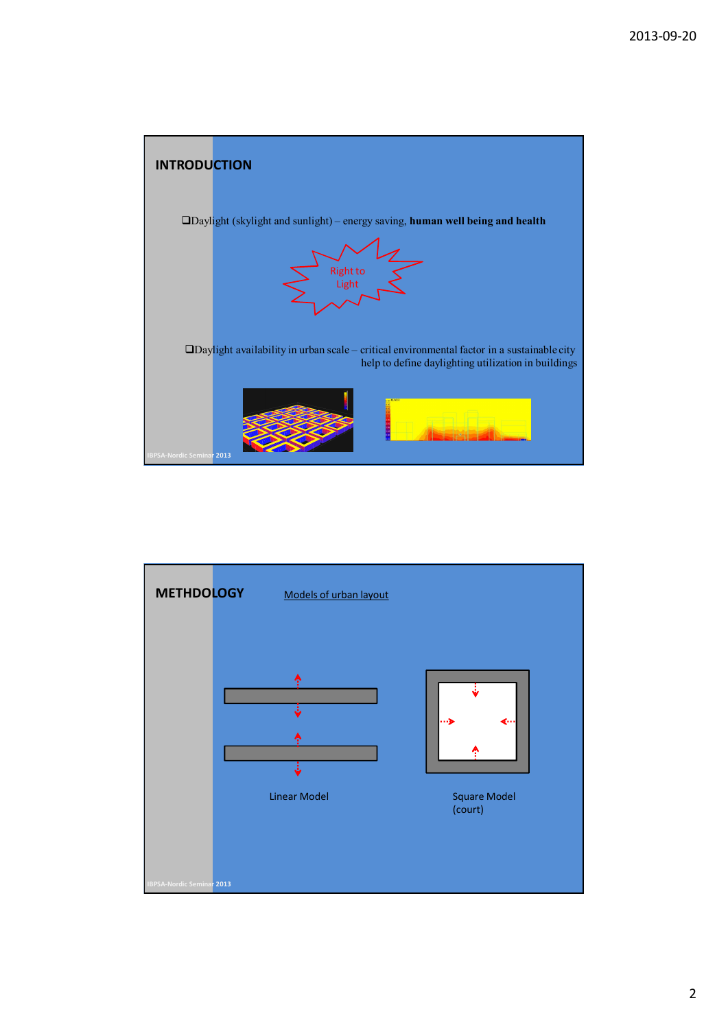

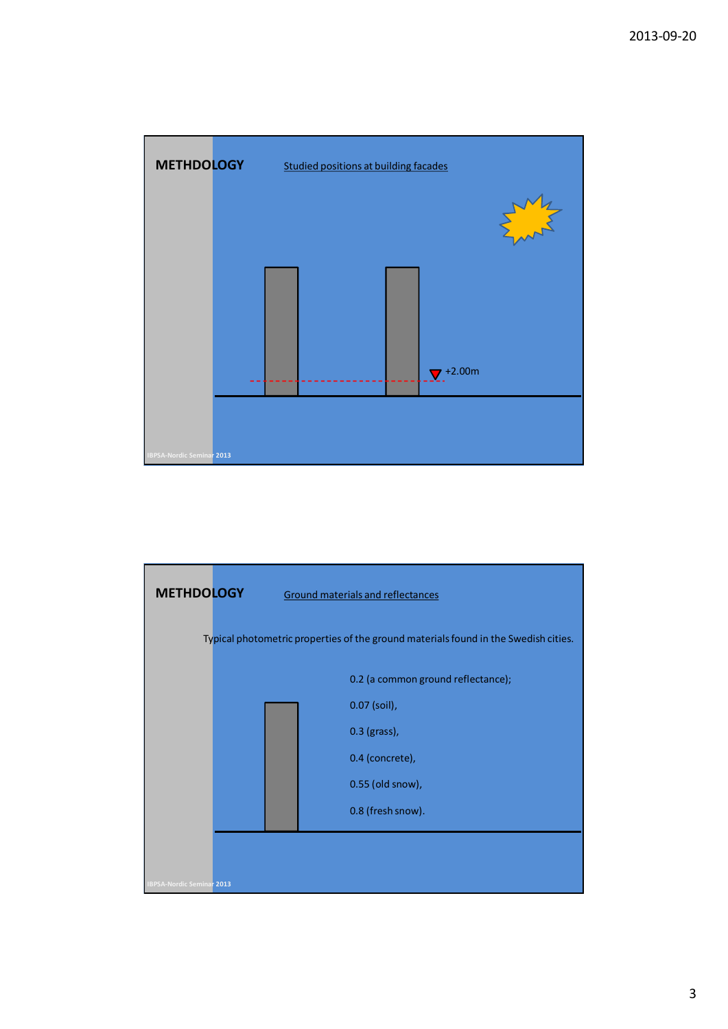

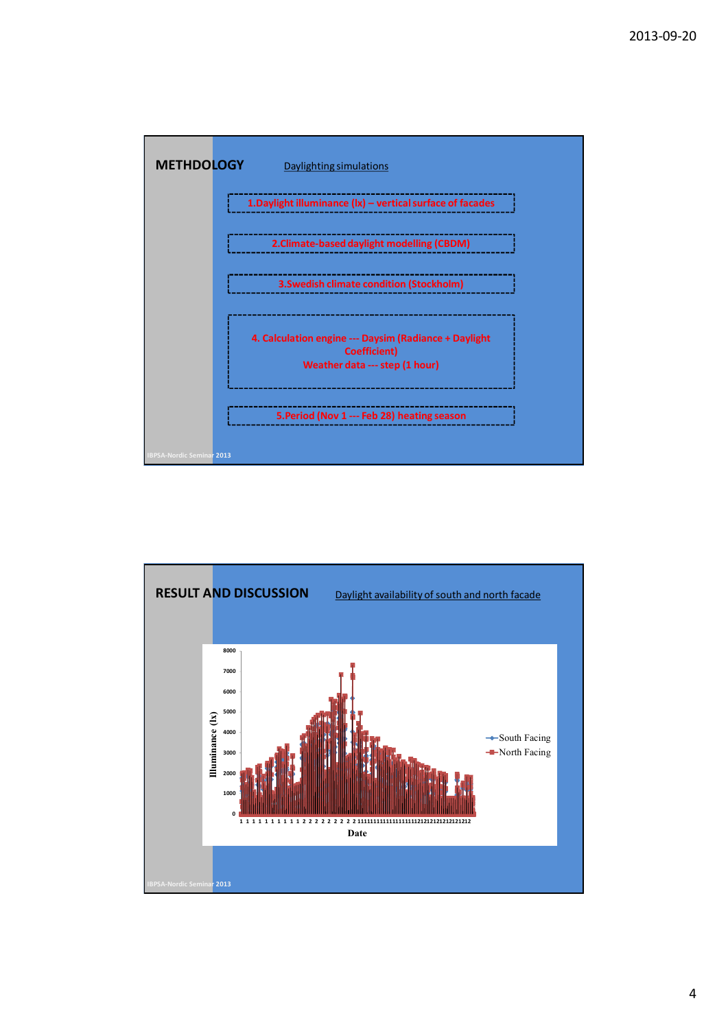

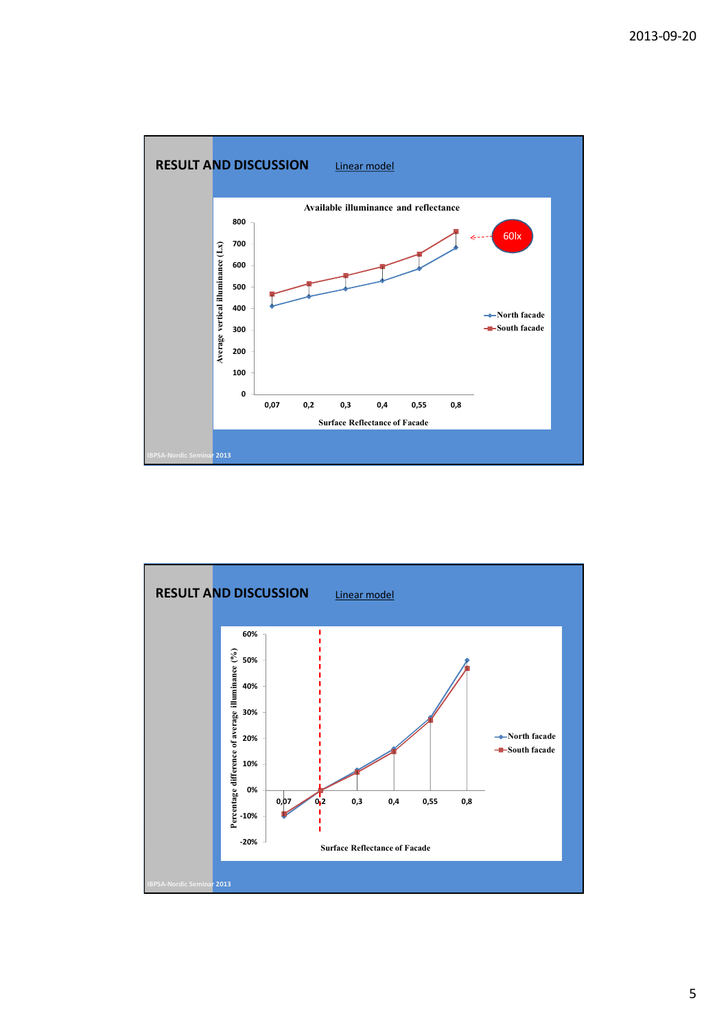

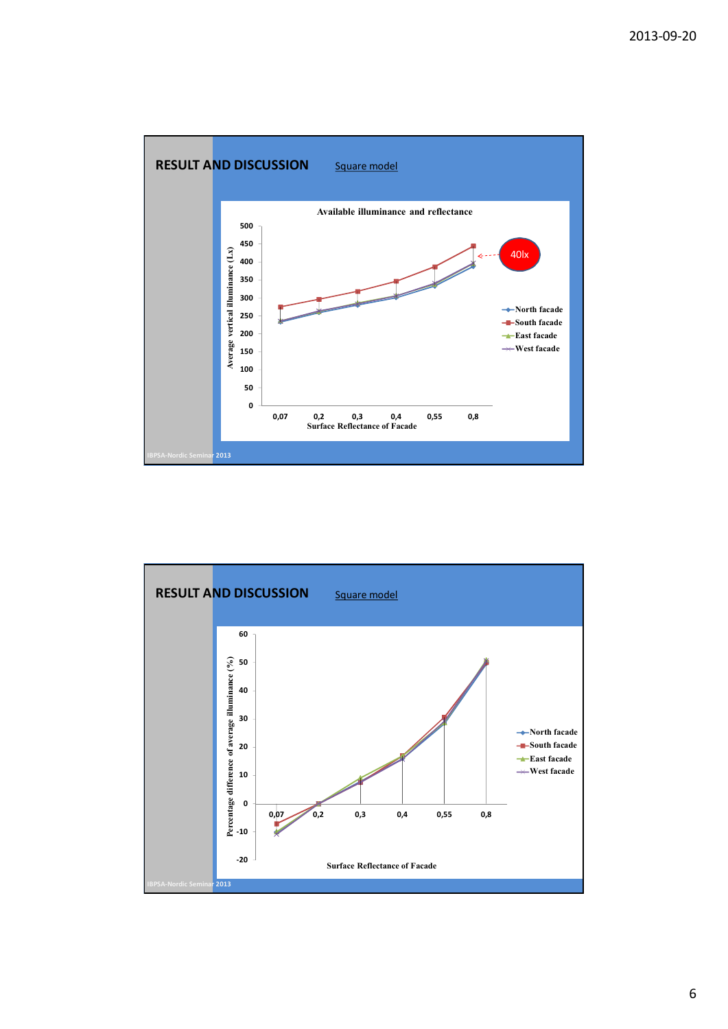